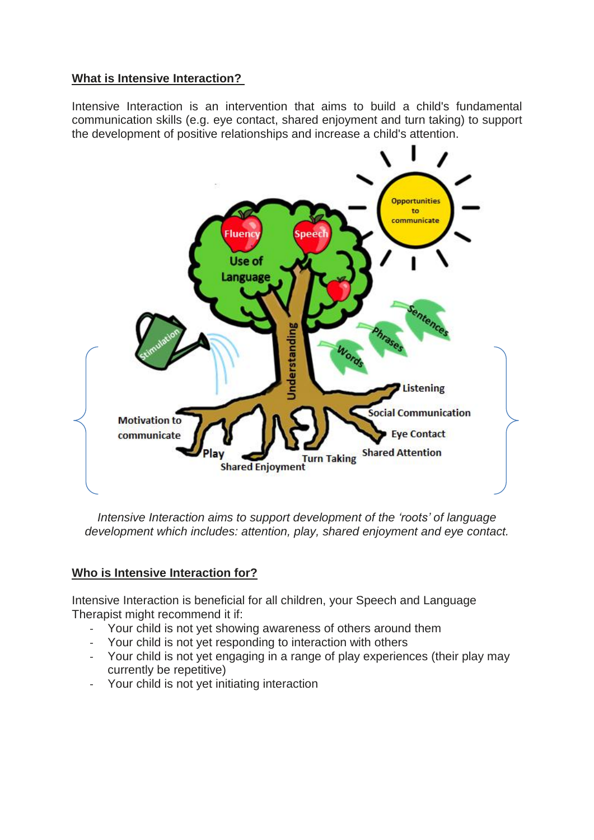## **What is Intensive Interaction?**

Intensive Interaction is an intervention that aims to build a child's fundamental communication skills (e.g. eye contact, shared enjoyment and turn taking) to support the development of positive relationships and increase a child's attention.



*Intensive Interaction aims to support development of the 'roots' of language development which includes: attention, play, shared enjoyment and eye contact.*

# **Who is Intensive Interaction for?**

Intensive Interaction is beneficial for all children, your Speech and Language Therapist might recommend it if:

- Your child is not yet showing awareness of others around them
- Your child is not yet responding to interaction with others
- Your child is not yet engaging in a range of play experiences (their play may currently be repetitive)
- Your child is not yet initiating interaction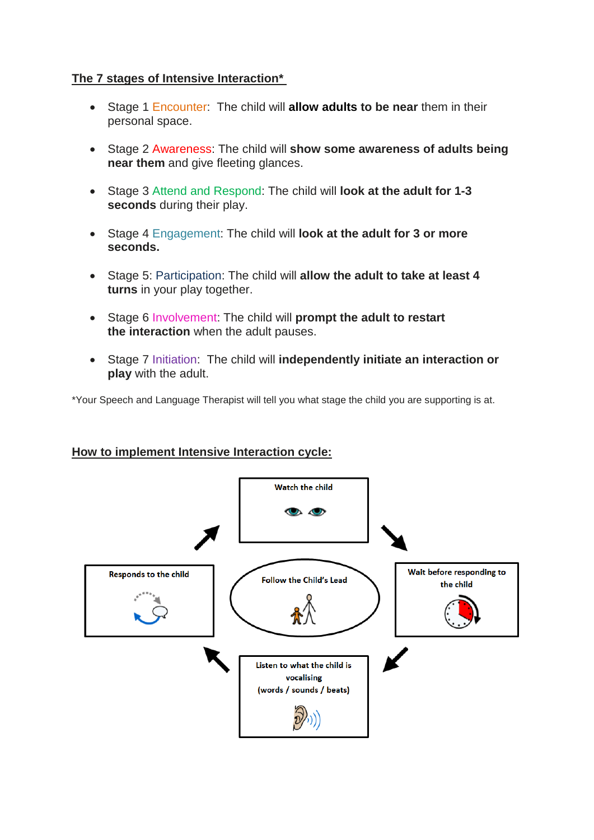## **The 7 stages of Intensive Interaction\***

- Stage 1 Encounter: The child will **allow adults to be near** them in their personal space.
- Stage 2 Awareness: The child will **show some awareness of adults being near them** and give fleeting glances.
- Stage 3 Attend and Respond: The child will **look at the adult for 1-3 seconds** during their play.
- Stage 4 Engagement: The child will **look at the adult for 3 or more seconds.**
- Stage 5: Participation: The child will **allow the adult to take at least 4 turns** in your play together.
- Stage 6 Involvement: The child will **prompt the adult to restart the interaction** when the adult pauses.
- Stage 7 Initiation: The child will **independently initiate an interaction or play** with the adult.

\*Your Speech and Language Therapist will tell you what stage the child you are supporting is at.

#### **How to implement Intensive Interaction cycle:**

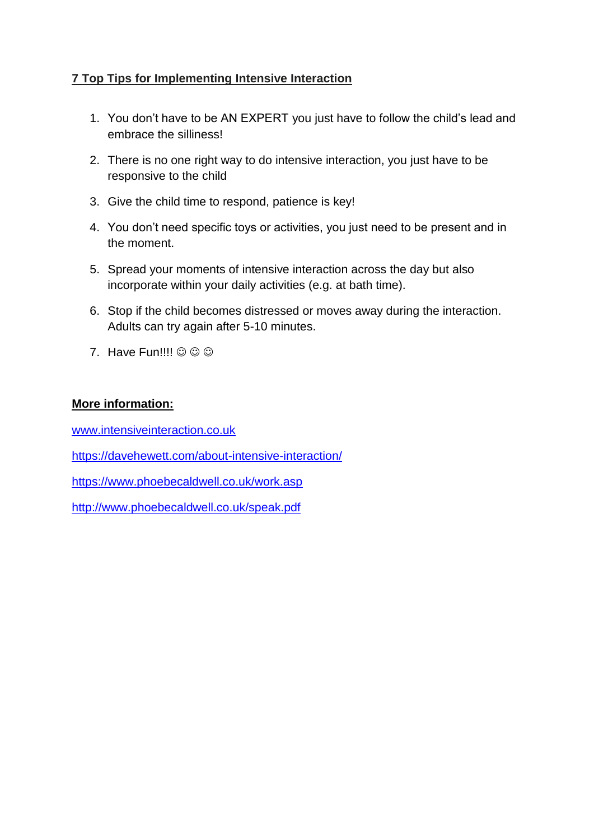# **7 Top Tips for Implementing Intensive Interaction**

- 1. You don't have to be AN EXPERT you just have to follow the child's lead and embrace the silliness!
- 2. There is no one right way to do intensive interaction, you just have to be responsive to the child
- 3. Give the child time to respond, patience is key!
- 4. You don't need specific toys or activities, you just need to be present and in the moment.
- 5. Spread your moments of intensive interaction across the day but also incorporate within your daily activities (e.g. at bath time).
- 6. Stop if the child becomes distressed or moves away during the interaction. Adults can try again after 5-10 minutes.
- 7. Have Fun!!!!  $\circledcirc \circledcirc$

## **More information:**

[www.intensiveinteraction.co.uk](http://www.intensiveinteraction.co.uk/)

<https://davehewett.com/about-intensive-interaction/>

<https://www.phoebecaldwell.co.uk/work.asp>

<http://www.phoebecaldwell.co.uk/speak.pdf>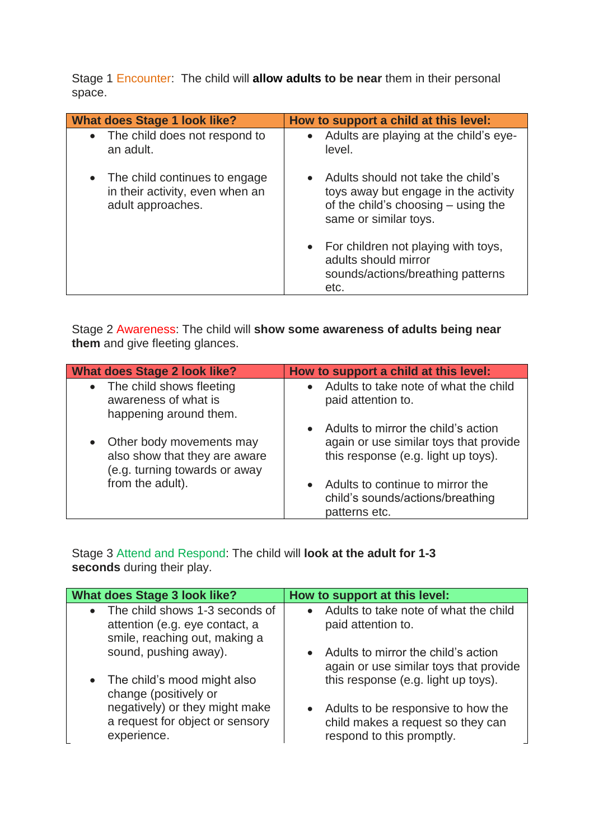Stage 1 Encounter: The child will **allow adults to be near** them in their personal space.

| <b>What does Stage 1 look like?</b>                                                     | How to support a child at this level:                                                                                                                     |
|-----------------------------------------------------------------------------------------|-----------------------------------------------------------------------------------------------------------------------------------------------------------|
| • The child does not respond to<br>an adult.                                            | • Adults are playing at the child's eye-<br>level.                                                                                                        |
| • The child continues to engage<br>in their activity, even when an<br>adult approaches. | Adults should not take the child's<br>$\bullet$<br>toys away but engage in the activity<br>of the child's choosing $-$ using the<br>same or similar toys. |
|                                                                                         | • For children not playing with toys,<br>adults should mirror<br>sounds/actions/breathing patterns<br>etc.                                                |

Stage 2 Awareness: The child will **show some awareness of adults being near them** and give fleeting glances.

| <b>What does Stage 2 look like?</b>                                                        | How to support a child at this level:                                                                                  |
|--------------------------------------------------------------------------------------------|------------------------------------------------------------------------------------------------------------------------|
| • The child shows fleeting<br>awareness of what is<br>happening around them.               | • Adults to take note of what the child<br>paid attention to.                                                          |
| Other body movements may<br>also show that they are aware<br>(e.g. turning towards or away | • Adults to mirror the child's action<br>again or use similar toys that provide<br>this response (e.g. light up toys). |
| from the adult).                                                                           | Adults to continue to mirror the<br>$\bullet$<br>child's sounds/actions/breathing<br>patterns etc.                     |

Stage 3 Attend and Respond: The child will **look at the adult for 1-3 seconds** during their play.

| <b>What does Stage 3 look like?</b> | How to support at this level:           |
|-------------------------------------|-----------------------------------------|
| • The child shows 1-3 seconds of    | • Adults to take note of what the child |
| attention (e.g. eye contact, a      | paid attention to.                      |
| smile, reaching out, making a       |                                         |
| sound, pushing away).               | • Adults to mirror the child's action   |
|                                     | again or use similar toys that provide  |
| • The child's mood might also       | this response (e.g. light up toys).     |
| change (positively or               |                                         |
| negatively) or they might make      | • Adults to be responsive to how the    |
| a request for object or sensory     | child makes a request so they can       |
| experience.                         | respond to this promptly.               |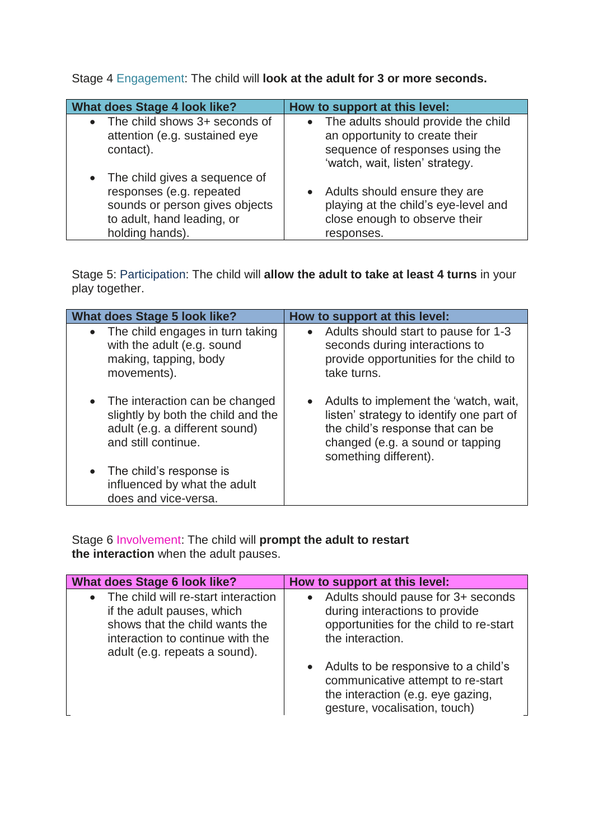Stage 4 Engagement: The child will **look at the adult for 3 or more seconds.**

| <b>What does Stage 4 look like?</b>                                                                                                            | How to support at this level:                                                                                                                 |
|------------------------------------------------------------------------------------------------------------------------------------------------|-----------------------------------------------------------------------------------------------------------------------------------------------|
| The child shows 3+ seconds of<br>attention (e.g. sustained eye<br>contact).                                                                    | • The adults should provide the child<br>an opportunity to create their<br>sequence of responses using the<br>'watch, wait, listen' strategy. |
| • The child gives a sequence of<br>responses (e.g. repeated<br>sounds or person gives objects<br>to adult, hand leading, or<br>holding hands). | • Adults should ensure they are<br>playing at the child's eye-level and<br>close enough to observe their<br>responses.                        |

Stage 5: Participation: The child will **allow the adult to take at least 4 turns** in your play together.

| <b>What does Stage 5 look like?</b>                                                                                             | How to support at this level:                                                                                                                                                        |
|---------------------------------------------------------------------------------------------------------------------------------|--------------------------------------------------------------------------------------------------------------------------------------------------------------------------------------|
| The child engages in turn taking<br>$\bullet$<br>with the adult (e.g. sound<br>making, tapping, body<br>movements).             | Adults should start to pause for 1-3<br>$\bullet$<br>seconds during interactions to<br>provide opportunities for the child to<br>take turns.                                         |
| • The interaction can be changed<br>slightly by both the child and the<br>adult (e.g. a different sound)<br>and still continue. | • Adults to implement the 'watch, wait,<br>listen' strategy to identify one part of<br>the child's response that can be<br>changed (e.g. a sound or tapping<br>something different). |
| The child's response is<br>$\bullet$<br>influenced by what the adult<br>does and vice-versa.                                    |                                                                                                                                                                                      |

Stage 6 Involvement: The child will **prompt the adult to restart the interaction** when the adult pauses.

| <b>What does Stage 6 look like?</b>                                                                                                                                      | How to support at this level:                                                                                                                     |
|--------------------------------------------------------------------------------------------------------------------------------------------------------------------------|---------------------------------------------------------------------------------------------------------------------------------------------------|
| The child will re-start interaction<br>if the adult pauses, which<br>shows that the child wants the<br>interaction to continue with the<br>adult (e.g. repeats a sound). | • Adults should pause for 3+ seconds<br>during interactions to provide<br>opportunities for the child to re-start<br>the interaction.             |
|                                                                                                                                                                          | • Adults to be responsive to a child's<br>communicative attempt to re-start<br>the interaction (e.g. eye gazing,<br>gesture, vocalisation, touch) |